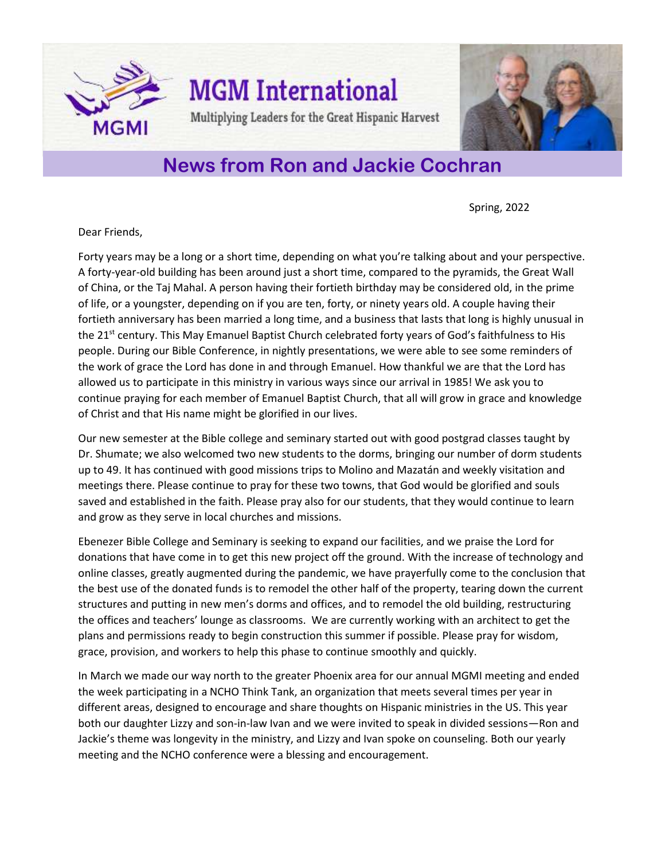

## **News from Ron and Jackie Cochran**

Spring, 2022

Dear Friends,

Forty years may be a long or a short time, depending on what you're talking about and your perspective. A forty-year-old building has been around just a short time, compared to the pyramids, the Great Wall of China, or the Taj Mahal. A person having their fortieth birthday may be considered old, in the prime of life, or a youngster, depending on if you are ten, forty, or ninety years old. A couple having their fortieth anniversary has been married a long time, and a business that lasts that long is highly unusual in the 21<sup>st</sup> century. This May Emanuel Baptist Church celebrated forty years of God's faithfulness to His people. During our Bible Conference, in nightly presentations, we were able to see some reminders of the work of grace the Lord has done in and through Emanuel. How thankful we are that the Lord has allowed us to participate in this ministry in various ways since our arrival in 1985! We ask you to continue praying for each member of Emanuel Baptist Church, that all will grow in grace and knowledge of Christ and that His name might be glorified in our lives.

Our new semester at the Bible college and seminary started out with good postgrad classes taught by Dr. Shumate; we also welcomed two new students to the dorms, bringing our number of dorm students up to 49. It has continued with good missions trips to Molino and Mazatán and weekly visitation and meetings there. Please continue to pray for these two towns, that God would be glorified and souls saved and established in the faith. Please pray also for our students, that they would continue to learn and grow as they serve in local churches and missions.

Ebenezer Bible College and Seminary is seeking to expand our facilities, and we praise the Lord for donations that have come in to get this new project off the ground. With the increase of technology and online classes, greatly augmented during the pandemic, we have prayerfully come to the conclusion that the best use of the donated funds is to remodel the other half of the property, tearing down the current structures and putting in new men's dorms and offices, and to remodel the old building, restructuring the offices and teachers' lounge as classrooms. We are currently working with an architect to get the plans and permissions ready to begin construction this summer if possible. Please pray for wisdom, grace, provision, and workers to help this phase to continue smoothly and quickly.

In March we made our way north to the greater Phoenix area for our annual MGMI meeting and ended the week participating in a NCHO Think Tank, an organization that meets several times per year in different areas, designed to encourage and share thoughts on Hispanic ministries in the US. This year both our daughter Lizzy and son-in-law Ivan and we were invited to speak in divided sessions—Ron and Jackie's theme was longevity in the ministry, and Lizzy and Ivan spoke on counseling. Both our yearly meeting and the NCHO conference were a blessing and encouragement.